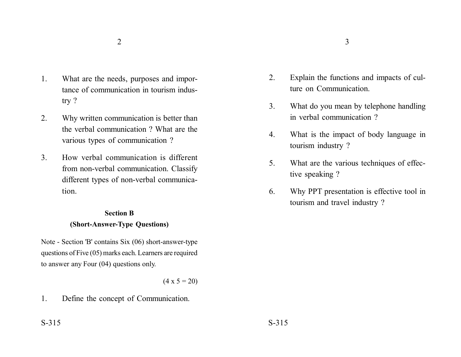- 1. What are the needs, purposes and importance of communication in tourism industry ?
- 2. Why written communication is better than the verbal communication ? What are the various types of communication ?
- 3. How verbal communication is different from non-verbal communication. Classify different types of non-verbal communication.

## **Section B (Short-Answer-Type Questions)**

Note - Section 'B' contains Six (06) short-answer-type questions of Five (05) marks each. Learners are required to answer any Four (04) questions only.

 $(4 \times 5 = 20)$ 

1. Define the concept of Communication.

- $2\overline{3}$ 
	- 2. Explain the functions and impacts of culture on Communication.
	- 3. What do you mean by telephone handling in verbal communication ?
	- 4. What is the impact of body language in tourism industry ?
	- 5. What are the various techniques of effective speaking ?
	- 6. Why PPT presentation is effective tool in tourism and travel industry ?